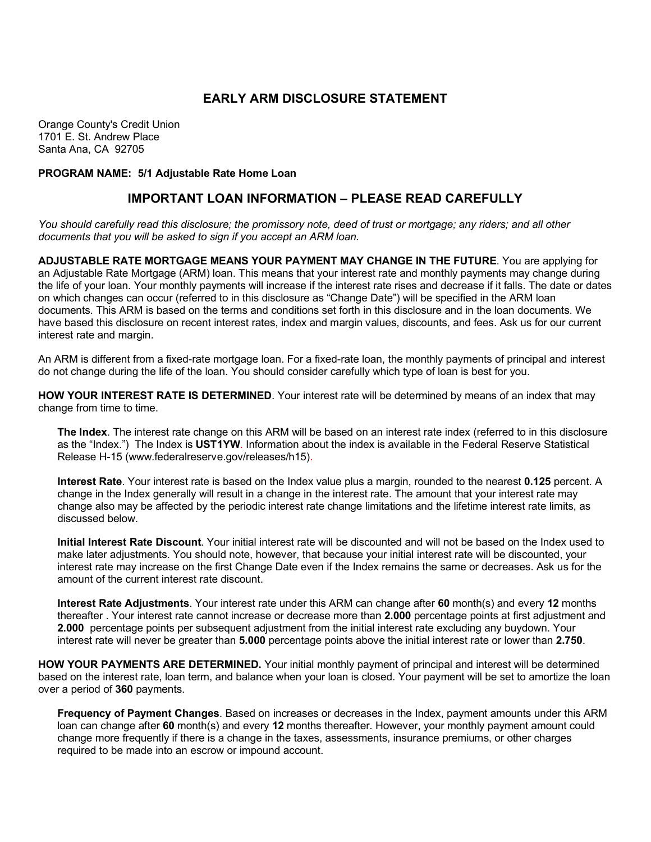## **EARLY ARM DISCLOSURE STATEMENT**

Orange County's Credit Union 1701 E. St. Andrew Place Santa Ana, CA 92705

## **PROGRAM NAME: 5/1 Adjustable Rate Home Loan**

## **IMPORTANT LOAN INFORMATION – PLEASE READ CAREFULLY**

*You should carefully read this disclosure; the promissory note, deed of trust or mortgage; any riders; and all other documents that you will be asked to sign if you accept an ARM loan.*

**ADJUSTABLE RATE MORTGAGE MEANS YOUR PAYMENT MAY CHANGE IN THE FUTURE**. You are applying for an Adjustable Rate Mortgage (ARM) loan. This means that your interest rate and monthly payments may change during the life of your loan. Your monthly payments will increase if the interest rate rises and decrease if it falls. The date or dates on which changes can occur (referred to in this disclosure as "Change Date") will be specified in the ARM loan documents. This ARM is based on the terms and conditions set forth in this disclosure and in the loan documents. We have based this disclosure on recent interest rates, index and margin values, discounts, and fees. Ask us for our current interest rate and margin.

An ARM is different from a fixed-rate mortgage loan. For a fixed-rate loan, the monthly payments of principal and interest do not change during the life of the loan. You should consider carefully which type of loan is best for you.

**HOW YOUR INTEREST RATE IS DETERMINED**. Your interest rate will be determined by means of an index that may change from time to time.

**The Index**. The interest rate change on this ARM will be based on an interest rate index (referred to in this disclosure as the "Index.") The Index is **UST1YW**. Information about the index is available in the Federal Reserve Statistical Release H-15 (www.federalreserve.gov/releases/h15).

**Interest Rate**. Your interest rate is based on the Index value plus a margin, rounded to the nearest **0.125** percent. A change in the Index generally will result in a change in the interest rate. The amount that your interest rate may change also may be affected by the periodic interest rate change limitations and the lifetime interest rate limits, as discussed below.

**Initial Interest Rate Discount**. Your initial interest rate will be discounted and will not be based on the Index used to make later adjustments. You should note, however, that because your initial interest rate will be discounted, your interest rate may increase on the first Change Date even if the Index remains the same or decreases. Ask us for the amount of the current interest rate discount.

**Interest Rate Adjustments**. Your interest rate under this ARM can change after **60** month(s) and every **12** months thereafter . Your interest rate cannot increase or decrease more than **2.000** percentage points at first adjustment and **2.000** percentage points per subsequent adjustment from the initial interest rate excluding any buydown. Your interest rate will never be greater than **5.000** percentage points above the initial interest rate or lower than **2.750**.

**HOW YOUR PAYMENTS ARE DETERMINED.** Your initial monthly payment of principal and interest will be determined based on the interest rate, loan term, and balance when your loan is closed. Your payment will be set to amortize the loan over a period of **360** payments.

**Frequency of Payment Changes**. Based on increases or decreases in the Index, payment amounts under this ARM loan can change after **60** month(s) and every **12** months thereafter. However, your monthly payment amount could change more frequently if there is a change in the taxes, assessments, insurance premiums, or other charges required to be made into an escrow or impound account.